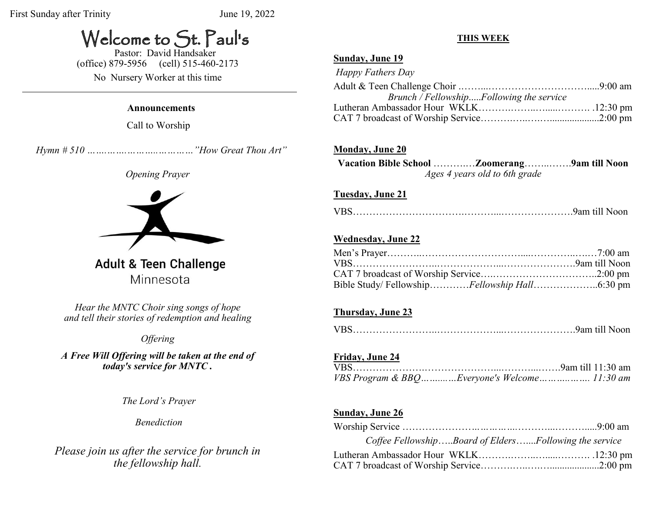# Welcome to St. Paul's

 Pastor: David Handsaker (office) 879-5956 (cell) 515-460-2173

No Nursery Worker at this time

#### **Announcements**

Call to Worship

 *Hymn # 510 …….…….………..…………"How Great Thou Art"*

#### *Opening Prayer*



**Adult & Teen Challenge** Minnesota

*Hear the MNTC Choir sing songs of hope and tell their stories of redemption and healing*

# *Offering*

*A Free Will Offering will be taken at the end of today's service for MNTC .*

*The Lord's Prayer* 

*Benediction*

*Please join us after the service for brunch in the fellowship hall.*

#### **THIS WEEK**

#### **Sunday, June 19**

| Happy Fathers Day                        |  |
|------------------------------------------|--|
|                                          |  |
| Brunch / FellowshipFollowing the service |  |
|                                          |  |
|                                          |  |

### **Monday, June 20**

**Vacation Bible School** ……….…**Zoomerang**……..…….**9am till Noon**  *Ages 4 years old to 6th grade*

#### **Tuesday, June 21**

|--|--|

### **Wednesday, June 22**

### **Thursday, June 23**

|--|--|

### **Friday, June 24**

| VBS Program & BBQEveryone's Welcome 11:30 am |  |
|----------------------------------------------|--|

#### **Sunday, June 26**

| Coffee FellowshipBoard of EldersFollowing the service |  |
|-------------------------------------------------------|--|
|                                                       |  |
|                                                       |  |